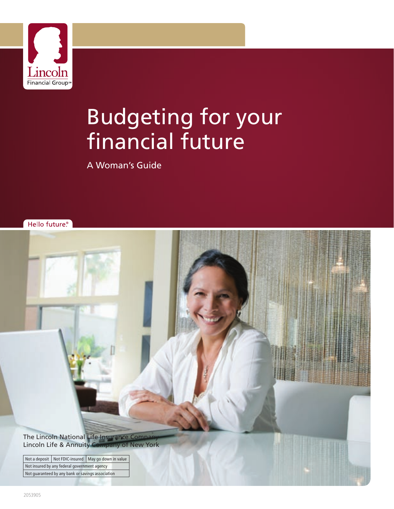

# Budgeting for your financial future

A Woman's Guide

Hello future.<sup>®</sup>

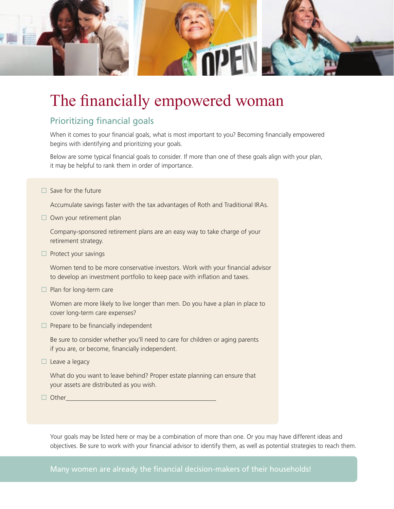

# The financially empowered woman

# Prioritizing financial goals

When it comes to your financial goals, what is most important to you? Becoming financially empowered begins with identifying and prioritizing your goals.

Below are some typical financial goals to consider. If more than one of these goals align with your plan, it may be helpful to rank them in order of importance.

 $\square$  Save for the future

Accumulate savings faster with the tax advantages of Roth and Traditional IRAs.

 $\square$  Own your retirement plan

Company-sponsored retirement plans are an easy way to take charge of your retirement strategy.

 $\Box$  Protect your savings

Women tend to be more conservative investors. Work with your financial advisor to develop an investment portfolio to keep pace with inflation and taxes.

 $\Box$  Plan for long-term care

Women are more likely to live longer than men. Do you have a plan in place to cover long-term care expenses?

 $\Box$  Prepare to be financially independent

Be sure to consider whether you'll need to care for children or aging parents if you are, or become, financially independent.

 $\Box$  Leave a legacy

What do you want to leave behind? Proper estate planning can ensure that your assets are distributed as you wish.

 $\Box$  Other

Your goals may be listed here or may be a combination of more than one. Or you may have different ideas and objectives. Be sure to work with your financial advisor to identify them, as well as potential strategies to reach them.

Many women are already the financial decision-makers of their households!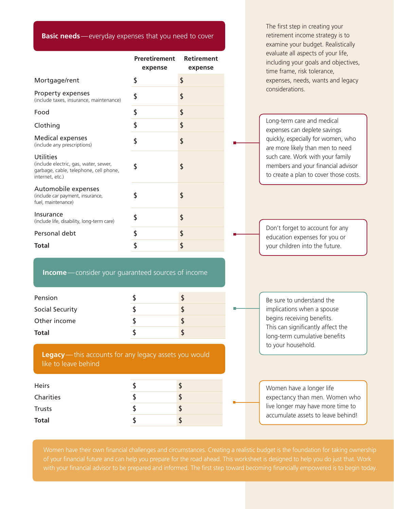**Basic needs**—everyday expenses that you need to cover

|                                                                                                                 |                                 |                              |  | examine your budget. Realistically                                                                                                                                                         |  |
|-----------------------------------------------------------------------------------------------------------------|---------------------------------|------------------------------|--|--------------------------------------------------------------------------------------------------------------------------------------------------------------------------------------------|--|
|                                                                                                                 | <b>Preretirement</b><br>expense | <b>Retirement</b><br>expense |  | evaluate all aspects of your life,<br>including your goals and objectives,<br>time frame, risk tolerance,                                                                                  |  |
| Mortgage/rent                                                                                                   | \$                              | \$                           |  | expenses, needs, wants and legacy                                                                                                                                                          |  |
| Property expenses<br>(include taxes, insurance, maintenance)                                                    | \$                              | \$                           |  | considerations.                                                                                                                                                                            |  |
| Food                                                                                                            | \$                              | \$                           |  |                                                                                                                                                                                            |  |
| Clothing                                                                                                        | \$                              |                              |  | Long-term care and medical<br>expenses can deplete savings                                                                                                                                 |  |
| <b>Medical expenses</b><br>(include any prescriptions)                                                          | \$                              | \$                           |  | quickly, especially for women, who<br>are more likely than men to need<br>such care. Work with your family<br>members and your financial advisor<br>to create a plan to cover those costs. |  |
| Utilities<br>(include electric, gas, water, sewer,<br>garbage, cable, telephone, cell phone,<br>internet, etc.) | \$                              |                              |  |                                                                                                                                                                                            |  |
| Automobile expenses<br>(include car payment, insurance,<br>fuel, maintenance)                                   | \$                              | \$                           |  |                                                                                                                                                                                            |  |
| Insurance<br>(include life, disability, long-term care)                                                         | \$                              | \$                           |  | Don't forget to account for any<br>education expenses for you or                                                                                                                           |  |
| Personal debt                                                                                                   | \$                              |                              |  |                                                                                                                                                                                            |  |
| <b>Total</b>                                                                                                    | \$                              | \$                           |  | your children into the future.                                                                                                                                                             |  |
| <b>Income</b> - consider your guaranteed sources of income                                                      |                                 |                              |  |                                                                                                                                                                                            |  |
| Pension                                                                                                         | \$                              | \$                           |  | Be sure to understand the<br>implications when a spouse<br>begins receiving benefits.<br>This can significantly affect the                                                                 |  |
| Social Security                                                                                                 | \$                              | \$                           |  |                                                                                                                                                                                            |  |
| Other income                                                                                                    | \$                              | \$                           |  |                                                                                                                                                                                            |  |
| <b>Total</b>                                                                                                    | \$                              | \$                           |  | long-term cumulative benefits<br>to your household.                                                                                                                                        |  |
| Legacy-this accounts for any legacy assets you would<br>like to leave behind                                    |                                 |                              |  |                                                                                                                                                                                            |  |
| <b>Heirs</b>                                                                                                    | \$                              | \$                           |  | Women have a longer life                                                                                                                                                                   |  |
| Charities                                                                                                       | \$                              | \$                           |  | expectancy than men. Women who                                                                                                                                                             |  |
| <b>Trusts</b>                                                                                                   | \$                              | \$                           |  | live longer may have more time to<br>accumulate assets to leave behind!                                                                                                                    |  |
| <b>Total</b>                                                                                                    | \$                              | \$                           |  |                                                                                                                                                                                            |  |

The first step in creating your retirement income strategy is to